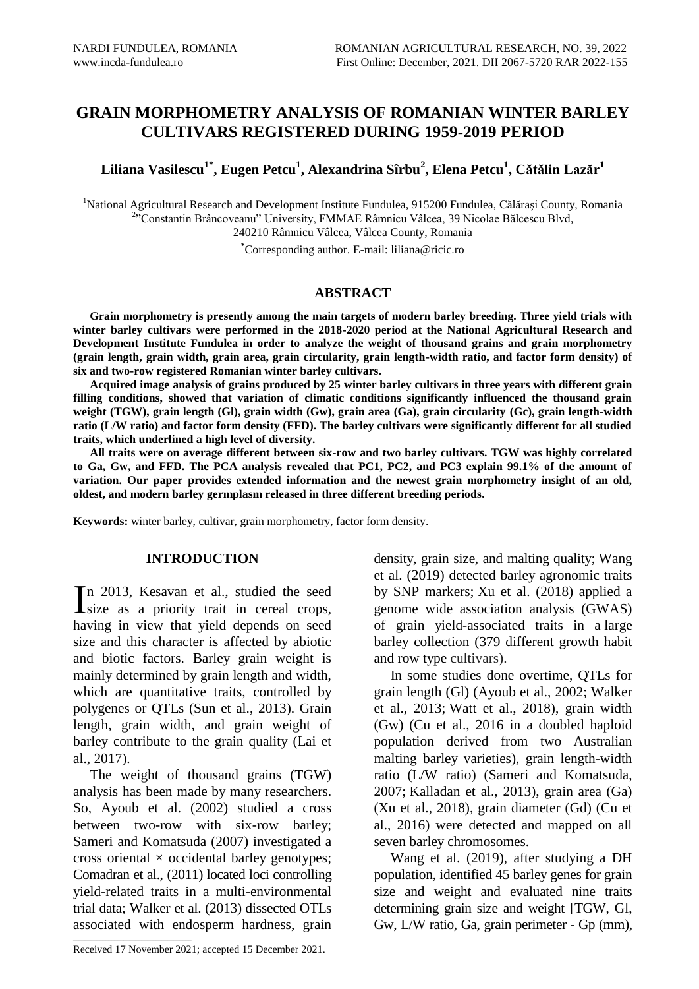# **GRAIN MORPHOMETRY ANALYSIS OF ROMANIAN WINTER BARLEY CULTIVARS REGISTERED DURING 1959-2019 PERIOD**

**Liliana Vasilescu1\*, Eugen Petcu<sup>1</sup> , Alexandrina Sîrbu<sup>2</sup> , Elena Petcu<sup>1</sup> , Cătălin Lazăr<sup>1</sup>**

<sup>1</sup>National Agricultural Research and Development Institute Fundulea, 915200 Fundulea, Călărași County, Romania <sup>2</sup>"Constantin Brâncoveanu" University, FMMAE Râmnicu Vâlcea, 39 Nicolae Bălcescu Blvd, 240210 Râmnicu Vâlcea, Vâlcea County, Romania

**\***Corresponding author. E-mail: liliana@ricic.ro

## **ABSTRACT**

**Grain morphometry is presently among the main targets of modern barley breeding. Three yield trials with winter barley cultivars were performed in the 2018-2020 period at the National Agricultural Research and Development Institute Fundulea in order to analyze the weight of thousand grains and grain morphometry (grain length, grain width, grain area, grain circularity, grain length-width ratio, and factor form density) of six and two-row registered Romanian winter barley cultivars.**

**Acquired image analysis of grains produced by 25 winter barley cultivars in three years with different grain filling conditions, showed that variation of climatic conditions significantly influenced the thousand grain weight (TGW), grain length (Gl), grain width (Gw), grain area (Ga), grain circularity (Gc), grain length-width ratio (L/W ratio) and factor form density (FFD). The barley cultivars were significantly different for all studied traits, which underlined a high level of diversity.** 

**All traits were on average different between six-row and two barley cultivars. TGW was highly correlated to Ga, Gw, and FFD. The PCA analysis revealed that PC1, PC2, and PC3 explain 99.1% of the amount of variation. Our paper provides extended information and the newest grain morphometry insight of an old, oldest, and modern barley germplasm released in three different breeding periods.** 

**Keywords:** winter barley, cultivar, grain morphometry, factor form density.

# **INTRODUCTION**

n 2013, Kesavan et al., studied the seed In 2013, Kesavan et al., studied the seed<br>size as a priority trait in cereal crops, having in view that yield depends on seed size and this character is affected by abiotic and biotic factors. Barley grain weight is mainly determined by grain length and width, which are quantitative traits, controlled by polygenes or QTLs (Sun et al., 2013). Grain length, grain width, and grain weight of barley contribute to the grain quality (Lai et al., 2017).

The weight of thousand grains (TGW) analysis has been made by many researchers. So, [Ayoub et al. \(2002\)](https://www.ncbi.nlm.nih.gov/pmc/articles/PMC6491919/#B1) studied a cross between two-row with six-row barley; Sameri and Komatsuda (2007) investigated a cross oriental  $\times$  occidental barley genotypes; Comadran et al., (2011) located loci controlling yield-related traits in a multi-environmental trial data; Walker et al. (2013) dissected OTLs associated with endosperm hardness, grain

Received 17 November 2021; accepted 15 December 2021.

 $\mathcal{L}_\text{max}$  and  $\mathcal{L}_\text{max}$  and  $\mathcal{L}_\text{max}$  and  $\mathcal{L}_\text{max}$ 

density, grain size, and malting quality; Wang et al. (2019) detected barley agronomic traits by SNP markers; Xu et al. (2018) applied a genome wide association analysis (GWAS) of grain yield-associated traits in a large barley collection (379 different growth habit and row type cultivars).

In some studies done overtime, QTLs for grain length (Gl) (Ayoub et al., 2002; Walker et al., 2013; Watt et al., 2018), grain width (Gw) (Cu et al., 2016 in a doubled haploid population derived from two Australian malting barley varieties), grain length-width ratio (L/W ratio) [\(Sameri and Komatsuda,](https://www.ncbi.nlm.nih.gov/pmc/articles/PMC6491919/#B66)  [2007;](https://www.ncbi.nlm.nih.gov/pmc/articles/PMC6491919/#B66) Kalladan et al., 2013), grain area (Ga) (Xu et al., 2018), grain diameter (Gd) [\(Cu et](https://www.ncbi.nlm.nih.gov/pmc/articles/PMC6491919/#B12)  [al., 2016\)](https://www.ncbi.nlm.nih.gov/pmc/articles/PMC6491919/#B12) were detected and mapped on all seven barley chromosomes.

Wang et al. (2019), after studying a DH population, identified 45 barley genes for grain size and weight and evaluated nine traits determining grain size and weight [TGW, Gl, Gw, L/W ratio, Ga, grain perimeter - Gp (mm),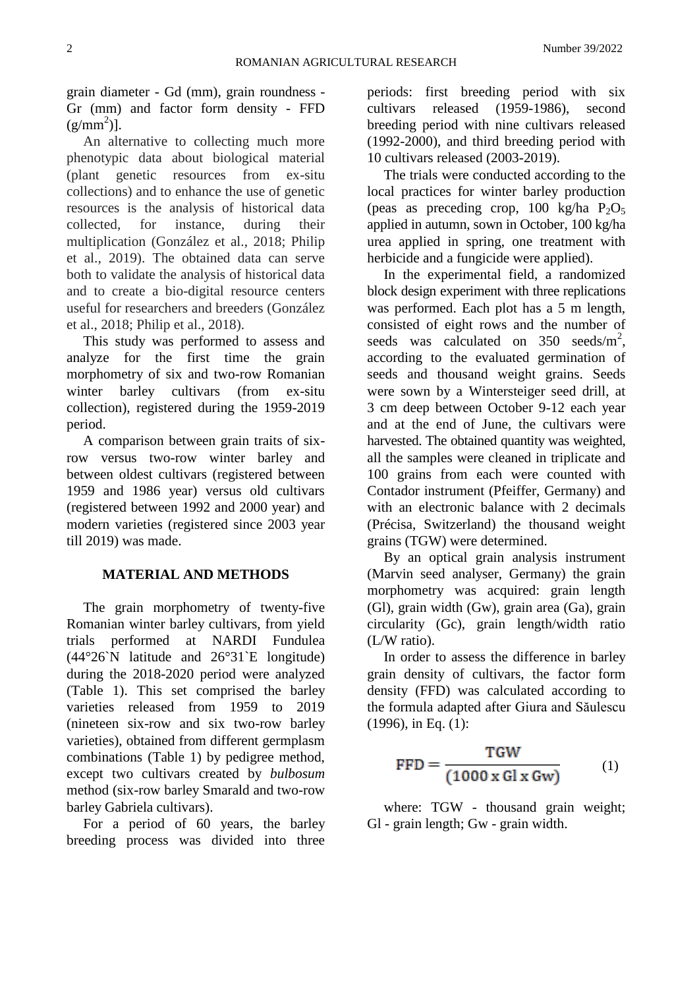grain diameter - Gd (mm), grain roundness - Gr (mm) and factor form density - FFD  $(g/mm<sup>2</sup>)$ ].

An alternative to collecting much more phenotypic data about biological material (plant genetic resources from ex-situ collections) and to enhance the use of genetic resources is the analysis of historical data collected, for instance, during their multiplication (González et al., 2018; Philip et al., 2019). The obtained data can serve both to validate the analysis of historical data and to create a bio-digital resource centers useful for researchers and breeders (González et al., 2018; Philip et al., 2018).

This study was performed to assess and analyze for the first time the grain morphometry of six and two-row Romanian winter barley cultivars (from ex-situ collection), registered during the 1959-2019 period.

A comparison between grain traits of sixrow versus two-row winter barley and between oldest cultivars (registered between 1959 and 1986 year) versus old cultivars (registered between 1992 and 2000 year) and modern varieties (registered since 2003 year till 2019) was made.

# **MATERIAL AND METHODS**

The grain morphometry of twenty-five Romanian winter barley cultivars, from yield trials performed at NARDI Fundulea (44°26`N latitude and 26°31`E longitude) during the 2018-2020 period were analyzed (Table 1). This set comprised the barley varieties released from 1959 to 2019 (nineteen six-row and six two-row barley varieties), obtained from different germplasm combinations (Table 1) by pedigree method, except two cultivars created by *bulbosum* method (six-row barley Smarald and two-row barley Gabriela cultivars).

For a period of 60 years, the barley breeding process was divided into three

periods: first breeding period with six cultivars released (1959-1986), second breeding period with nine cultivars released (1992-2000), and third breeding period with 10 cultivars released (2003-2019).

The trials were conducted according to the local practices for winter barley production (peas as preceding crop, 100 kg/ha  $P_2O_5$ applied in autumn, sown in October, 100 kg/ha urea applied in spring, one treatment with herbicide and a fungicide were applied).

In the experimental field, a randomized block design experiment with three replications was performed. Each plot has a 5 m length, consisted of eight rows and the number of seeds was calculated on  $350$  seeds/m<sup>2</sup>, according to the evaluated germination of seeds and thousand weight grains. Seeds were sown by a Wintersteiger seed drill, at 3 cm deep between October 9-12 each year and at the end of June, the cultivars were harvested. The obtained quantity was weighted, all the samples were cleaned in triplicate and 100 grains from each were counted with Contador instrument (Pfeiffer, Germany) and with an electronic balance with 2 decimals (Précisa, Switzerland) the thousand weight grains (TGW) were determined.

By an optical grain analysis instrument (Marvin seed analyser, Germany) the grain morphometry was acquired: grain length (Gl), grain width (Gw), grain area (Ga), grain circularity (Gc), grain length/width ratio (L/W ratio).

In order to assess the difference in barley grain density of cultivars, the factor form density (FFD) was calculated according to the formula adapted after Giura and Săulescu (1996), in Eq. (1):

$$
FFD = \frac{TGW}{(1000 \times Gl \times Gw)} \tag{1}
$$

where: TGW - thousand grain weight; Gl - grain length; Gw - grain width.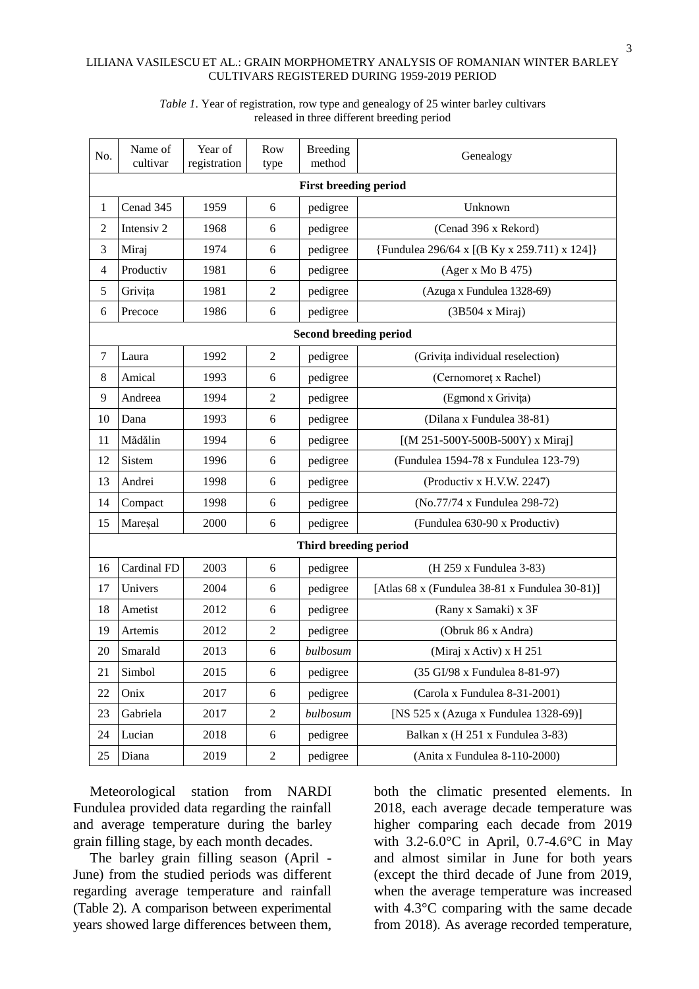| No.                           | Name of<br>cultivar | Year of<br>registration | Row<br>type    | <b>Breeding</b><br>method    | Genealogy                                      |  |  |  |  |  |
|-------------------------------|---------------------|-------------------------|----------------|------------------------------|------------------------------------------------|--|--|--|--|--|
|                               |                     |                         |                | <b>First breeding period</b> |                                                |  |  |  |  |  |
| 1                             | Cenad 345           | 1959                    | 6              | pedigree                     | Unknown                                        |  |  |  |  |  |
| 2                             | Intensiv 2          | 1968                    | 6              | pedigree                     | (Cenad 396 x Rekord)                           |  |  |  |  |  |
| 3                             | Miraj               | 1974                    | 6              | pedigree                     | {Fundulea 296/64 x [(B Ky x 259.711) x 124]}   |  |  |  |  |  |
| 4                             | Productiv           | 1981                    | 6              | pedigree                     | (Ager x Mo B 475)                              |  |  |  |  |  |
| 5                             | Grivița             | 1981                    | $\mathfrak{2}$ | pedigree                     | (Azuga x Fundulea 1328-69)                     |  |  |  |  |  |
| 6                             | Precoce             | 1986                    | 6              | pedigree                     | $(3B504 \times Miraj)$                         |  |  |  |  |  |
| <b>Second breeding period</b> |                     |                         |                |                              |                                                |  |  |  |  |  |
| $\tau$                        | Laura               | 1992                    | $\mathfrak{2}$ | pedigree                     | (Grivița individual reselection)               |  |  |  |  |  |
| 8                             | Amical              | 1993                    | 6              | pedigree                     | (Cernomoret x Rachel)                          |  |  |  |  |  |
| 9                             | Andreea             | 1994                    | $\overline{c}$ | pedigree                     | (Egmond x Grivița)                             |  |  |  |  |  |
| 10                            | Dana                | 1993                    | 6              | pedigree                     | (Dilana x Fundulea 38-81)                      |  |  |  |  |  |
| 11                            | Mădălin             | 1994                    | 6              | pedigree                     | [(M 251-500Y-500B-500Y) x Miraj]               |  |  |  |  |  |
| 12                            | Sistem              | 1996                    | 6              | pedigree                     | (Fundulea 1594-78 x Fundulea 123-79)           |  |  |  |  |  |
| 13                            | Andrei              | 1998                    | 6              | pedigree                     | (Productiv x H.V.W. 2247)                      |  |  |  |  |  |
| 14                            | Compact             | 1998                    | 6              | pedigree                     | (No.77/74 x Fundulea 298-72)                   |  |  |  |  |  |
| 15                            | Mareșal             | 2000                    | 6              | pedigree                     | (Fundulea 630-90 x Productiv)                  |  |  |  |  |  |
|                               |                     |                         |                | Third breeding period        |                                                |  |  |  |  |  |
| 16                            | Cardinal FD         | 2003                    | 6              | pedigree                     | (H 259 x Fundulea 3-83)                        |  |  |  |  |  |
| 17                            | Univers             | 2004                    | 6              | pedigree                     | [Atlas 68 x (Fundulea 38-81 x Fundulea 30-81)] |  |  |  |  |  |
| 18                            | Ametist             | 2012                    | 6              | pedigree                     | (Rany x Samaki) x 3F                           |  |  |  |  |  |
| 19                            | Artemis             | 2012                    | $\mathfrak{2}$ | pedigree                     | (Obruk 86 x Andra)                             |  |  |  |  |  |
| 20                            | Smarald             | 2013                    | 6              | bulbosum                     | (Miraj x Activ) x H 251                        |  |  |  |  |  |
| 21                            | Simbol              | 2015                    | 6              | pedigree                     | (35 GI/98 x Fundulea 8-81-97)                  |  |  |  |  |  |
| 22                            | Onix                | 2017                    | 6              | pedigree                     | (Carola x Fundulea 8-31-2001)                  |  |  |  |  |  |
| 23                            | Gabriela            | 2017                    | $\overline{c}$ | bulbosum                     | [NS 525 x (Azuga x Fundulea 1328-69)]          |  |  |  |  |  |
| 24                            | Lucian              | 2018                    | 6              | pedigree                     | Balkan x (H 251 x Fundulea 3-83)               |  |  |  |  |  |
| 25                            | Diana               | 2019                    | $\overline{c}$ | pedigree                     | (Anita x Fundulea 8-110-2000)                  |  |  |  |  |  |

## *Table 1*. Year of registration, row type and genealogy of 25 winter barley cultivars released in three different breeding period

Meteorological station from NARDI Fundulea provided data regarding the rainfall and average temperature during the barley grain filling stage, by each month decades.

The barley grain filling season (April - June) from the studied periods was different regarding average temperature and rainfall (Table 2). A comparison between experimental years showed large differences between them, both the climatic presented elements. In 2018, each average decade temperature was higher comparing each decade from 2019 with 3.2-6.0°C in April, 0.7-4.6°C in May and almost similar in June for both years (except the third decade of June from 2019, when the average temperature was increased with 4.3°C comparing with the same decade from 2018). As average recorded temperature,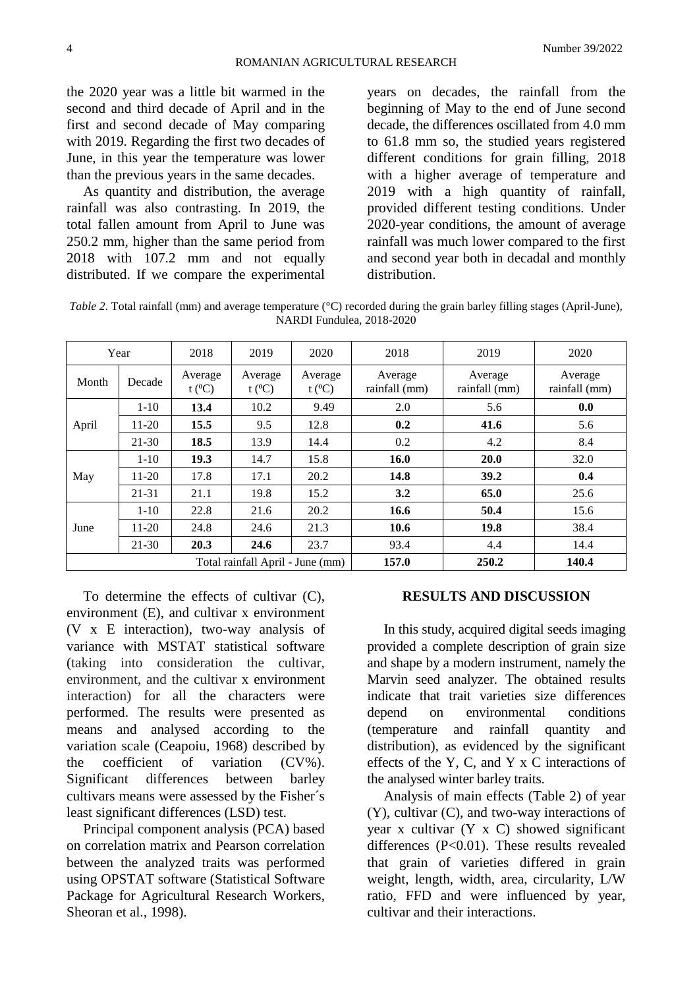the 2020 year was a little bit warmed in the second and third decade of April and in the first and second decade of May comparing with 2019. Regarding the first two decades of June, in this year the temperature was lower than the previous years in the same decades.

As quantity and distribution, the average rainfall was also contrasting. In 2019, the total fallen amount from April to June was 250.2 mm, higher than the same period from 2018 with 107.2 mm and not equally distributed. If we compare the experimental years on decades, the rainfall from the beginning of May to the end of June second decade, the differences oscillated from 4.0 mm to 61.8 mm so, the studied years registered different conditions for grain filling, 2018 with a higher average of temperature and 2019 with a high quantity of rainfall, provided different testing conditions. Under 2020-year conditions, the amount of average rainfall was much lower compared to the first and second year both in decadal and monthly distribution.

| Table 2. Total rainfall (mm) and average temperature ( $\degree$ C) recorded during the grain barley filling stages (April-June), |
|-----------------------------------------------------------------------------------------------------------------------------------|
| NARDI Fundulea, 2018-2020                                                                                                         |

|       | Year      | 2018                 | 2019                             | 2020                   | 2018                     | 2019                     | 2020                     |
|-------|-----------|----------------------|----------------------------------|------------------------|--------------------------|--------------------------|--------------------------|
| Month | Decade    | Average<br>$t (^0C)$ | Average<br>t $(^{0}C)$           | Average<br>t $(^{0}C)$ | Average<br>rainfall (mm) | Average<br>rainfall (mm) | Average<br>rainfall (mm) |
|       | $1 - 10$  | 13.4                 | 10.2                             | 9.49                   | 2.0                      | 5.6                      | 0.0                      |
| April | $11-20$   | 15.5                 | 9.5                              | 12.8                   | 0.2                      | 41.6                     | 5.6                      |
|       | $21 - 30$ | 18.5                 | 13.9                             | 14.4                   | 0.2                      | 4.2                      | 8.4                      |
|       | $1 - 10$  | 19.3                 | 14.7                             | 15.8                   | <b>16.0</b>              | 20.0                     | 32.0                     |
| May   | $11-20$   | 17.8                 | 17.1                             | 20.2                   | 14.8                     | 39.2                     | 0.4                      |
|       | 21-31     | 21.1                 | 19.8                             | 15.2                   | 3.2                      | 65.0                     | 25.6                     |
|       | $1 - 10$  | 22.8                 | 21.6                             | 20.2                   | 16.6                     | 50.4                     | 15.6                     |
| June  | $11-20$   | 24.8                 | 24.6                             | 21.3                   | 10.6                     | 19.8                     | 38.4                     |
|       | $21-30$   | 20.3                 | 24.6                             | 23.7                   | 93.4                     | 4.4                      | 14.4                     |
|       |           |                      | Total rainfall April - June (mm) |                        | 157.0                    | 250.2                    | 140.4                    |

To determine the effects of cultivar (C), environment (E), and cultivar x environment (V x E interaction), two-way analysis of variance with MSTAT statistical software (taking into consideration the cultivar, environment, and the cultivar x environment interaction) for all the characters were performed. The results were presented as means and analysed according to the variation scale (Ceapoiu, 1968) described by the coefficient of variation (CV%). Significant differences between barley cultivars means were assessed by the Fisher´s least significant differences (LSD) test.

Principal component analysis (PCA) based on correlation matrix and Pearson correlation between the analyzed traits was performed using OPSTAT software (Statistical Software Package for Agricultural Research Workers, Sheoran et al., 1998).

## **RESULTS AND DISCUSSION**

In this study, acquired digital seeds imaging provided a complete description of grain size and shape by a modern instrument, namely the Marvin seed analyzer. The obtained results indicate that trait varieties size differences depend on environmental conditions (temperature and rainfall quantity and distribution), as evidenced by the significant effects of the Y, C, and Y x C interactions of the analysed winter barley traits.

Analysis of main effects (Table 2) of year (Y), cultivar (C), and two-way interactions of year x cultivar  $(Y \times C)$  showed significant differences (P<0.01). These results revealed that grain of varieties differed in grain weight, length, width, area, circularity, L/W ratio, FFD and were influenced by year, cultivar and their interactions.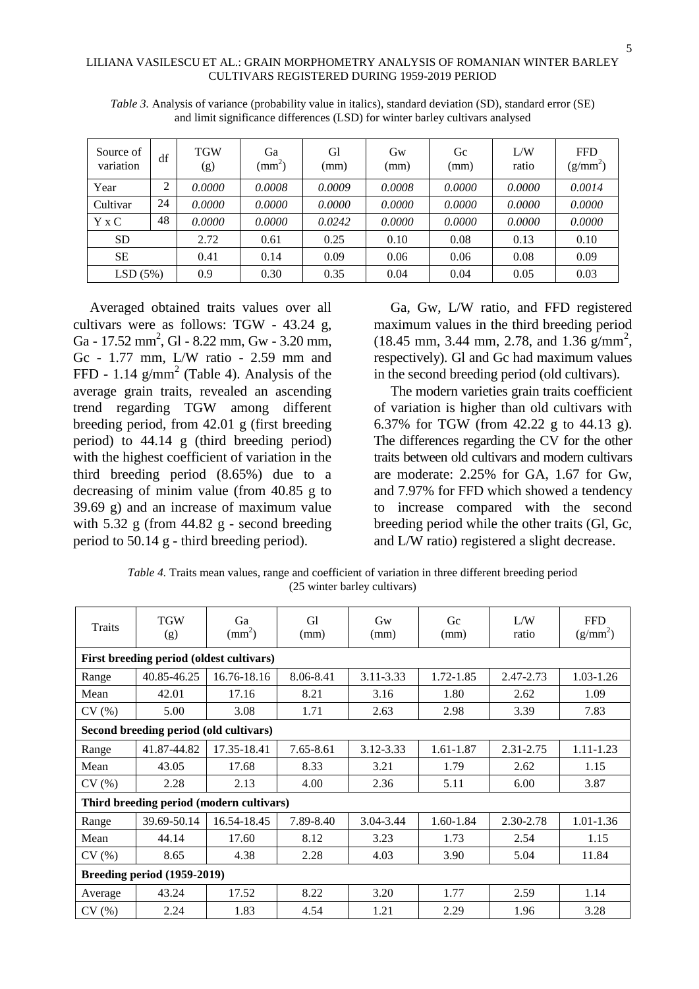| Source of<br>variation | df     | <b>TGW</b><br>(g) | Ga<br>$\text{mm}^2$ ) | Gl<br>(mm) | $G_{W}$<br>(mm) | Gc<br>(mm) | L/W<br>ratio | <b>FFD</b><br>$(g/mm^2)$ |
|------------------------|--------|-------------------|-----------------------|------------|-----------------|------------|--------------|--------------------------|
| Year                   | ↑<br>∠ | 0.0000            | 0.0008                | 0.0009     | 0.0008          | 0.0000     | 0.0000       | 0.0014                   |
| Cultivar               | 24     | 0.0000            | 0.0000                | 0.0000     | 0.0000          | 0.0000     | 0.0000       | 0.0000                   |
| $Y \times C$           | 48     | 0.0000            | 0.0000                | 0.0242     | 0.0000          | 0.0000     | 0.0000       | 0.0000                   |
| <b>SD</b>              |        | 2.72              | 0.61                  | 0.25       | 0.10            | 0.08       | 0.13         | 0.10                     |
| <b>SE</b>              |        | 0.41              | 0.14                  | 0.09       | 0.06            | 0.06       | 0.08         | 0.09                     |
| LSD(5%)                |        | 0.9               | 0.30                  | 0.35       | 0.04            | 0.04       | 0.05         | 0.03                     |

*Table 3.* Analysis of variance (probability value in italics), standard deviation (SD), standard error (SE) and limit significance differences (LSD) for winter barley cultivars analysed

Averaged obtained traits values over all cultivars were as follows: TGW - 43.24 g, Ga - 17.52 mm<sup>2</sup>, Gl - 8.22 mm, Gw - 3.20 mm, Gc - 1.77 mm, L/W ratio - 2.59 mm and FFD - 1.14  $\text{g/mm}^2$  (Table 4). Analysis of the average grain traits, revealed an ascending trend regarding TGW among different breeding period, from 42.01 g (first breeding period) to 44.14 g (third breeding period) with the highest coefficient of variation in the third breeding period (8.65%) due to a decreasing of minim value (from 40.85 g to 39.69 g) and an increase of maximum value with  $5.32$  g (from  $44.82$  g - second breeding period to 50.14 g - third breeding period).

Ga, Gw, L/W ratio, and FFD registered maximum values in the third breeding period  $(18.45 \text{ mm}, 3.44 \text{ mm}, 2.78, \text{ and } 1.36 \text{ g/mm}^2,$ respectively). Gl and Gc had maximum values in the second breeding period (old cultivars).

The modern varieties grain traits coefficient of variation is higher than old cultivars with 6.37% for TGW (from 42.22 g to 44.13 g). The differences regarding the CV for the other traits between old cultivars and modern cultivars are moderate: 2.25% for GA, 1.67 for Gw, and 7.97% for FFD which showed a tendency to increase compared with the second breeding period while the other traits (Gl, Gc, and L/W ratio) registered a slight decrease.

*Table 4.* Traits mean values, range and coefficient of variation in three different breeding period (25 winter barley cultivars)

| Traits                                   | <b>TGW</b><br>(g) | Ga<br>$\text{(mm}^2)$                    | G1<br>(mm) | $G_{W}$<br>(mm) | Gc<br>(mm) | L/W<br>ratio | <b>FFD</b><br>$(g/mm^2)$ |  |  |  |  |  |
|------------------------------------------|-------------------|------------------------------------------|------------|-----------------|------------|--------------|--------------------------|--|--|--|--|--|
| First breeding period (oldest cultivars) |                   |                                          |            |                 |            |              |                          |  |  |  |  |  |
| Range                                    | 40.85-46.25       | 16.76-18.16                              | 8.06-8.41  | 3.11-3.33       | 1.72-1.85  | 2.47-2.73    | 1.03-1.26                |  |  |  |  |  |
| Mean                                     | 42.01             | 17.16                                    | 8.21       | 3.16            | 1.80       | 2.62         | 1.09                     |  |  |  |  |  |
| CV(%)                                    | 5.00              | 3.08                                     | 1.71       | 2.63            | 2.98       | 3.39         | 7.83                     |  |  |  |  |  |
| Second breeding period (old cultivars)   |                   |                                          |            |                 |            |              |                          |  |  |  |  |  |
| Range                                    | 41.87-44.82       | 17.35-18.41                              | 7.65-8.61  | 3.12-3.33       | 1.61-1.87  | 2.31-2.75    | $1.11 - 1.23$            |  |  |  |  |  |
| Mean                                     | 43.05             | 17.68                                    | 8.33       | 3.21            | 1.79       | 2.62         | 1.15                     |  |  |  |  |  |
| CV(%)                                    | 2.28              | 2.13                                     | 4.00       | 2.36            | 5.11       | 6.00         | 3.87                     |  |  |  |  |  |
|                                          |                   | Third breeding period (modern cultivars) |            |                 |            |              |                          |  |  |  |  |  |
| Range                                    | 39.69-50.14       | 16.54-18.45                              | 7.89-8.40  | 3.04-3.44       | 1.60-1.84  | 2.30-2.78    | 1.01-1.36                |  |  |  |  |  |
| Mean                                     | 44.14             | 17.60                                    | 8.12       | 3.23            | 1.73       | 2.54         | 1.15                     |  |  |  |  |  |
| CV(%)                                    | 8.65              | 4.38                                     | 2.28       | 4.03            | 3.90       | 5.04         | 11.84                    |  |  |  |  |  |
| Breeding period (1959-2019)              |                   |                                          |            |                 |            |              |                          |  |  |  |  |  |
| Average                                  | 43.24             | 17.52                                    | 8.22       | 3.20            | 1.77       | 2.59         | 1.14                     |  |  |  |  |  |
| CV(%)                                    | 2.24              | 1.83                                     | 4.54       | 1.21            | 2.29       | 1.96         | 3.28                     |  |  |  |  |  |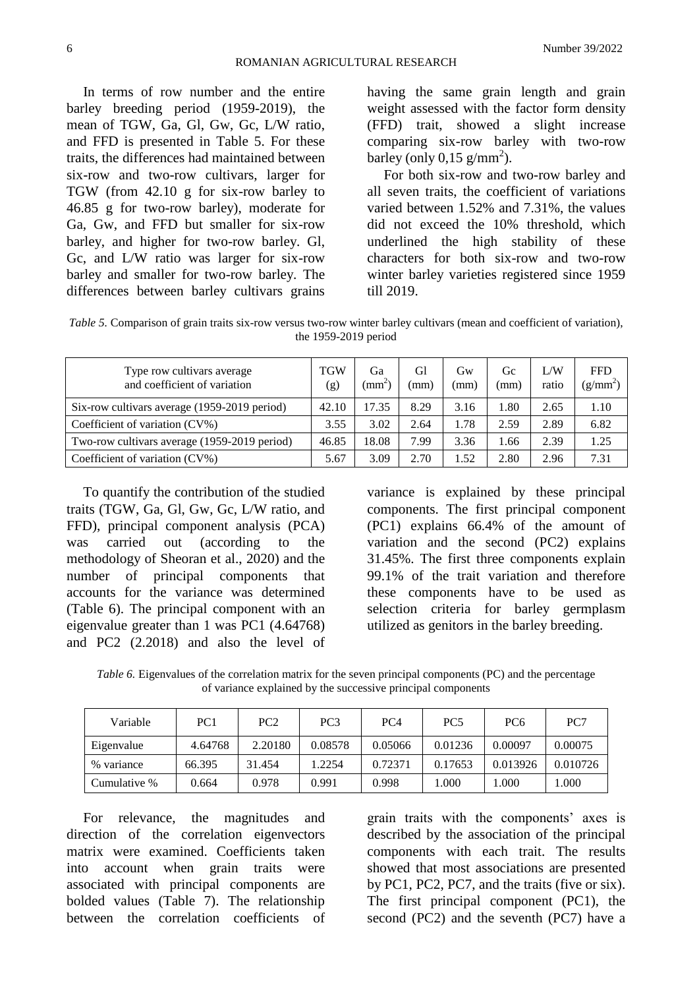In terms of row number and the entire barley breeding period (1959-2019), the mean of TGW, Ga, Gl, Gw, Gc, L/W ratio, and FFD is presented in Table 5. For these traits, the differences had maintained between six-row and two-row cultivars, larger for TGW (from 42.10 g for six-row barley to 46.85 g for two-row barley), moderate for Ga, Gw, and FFD but smaller for six-row barley, and higher for two-row barley. Gl, Gc, and L/W ratio was larger for six-row barley and smaller for two-row barley. The differences between barley cultivars grains having the same grain length and grain weight assessed with the factor form density (FFD) trait, showed a slight increase comparing six-row barley with two-row barley (only  $0,15$  g/mm<sup>2</sup>).

For both six-row and two-row barley and all seven traits, the coefficient of variations varied between 1.52% and 7.31%, the values did not exceed the 10% threshold, which underlined the high stability of these characters for both six-row and two-row winter barley varieties registered since 1959 till 2019.

*Table 5.* Comparison of grain traits six-row versus two-row winter barley cultivars (mean and coefficient of variation), the 1959-2019 period

| Type row cultivars average<br>and coefficient of variation | <b>TGW</b><br>(g) | Ga<br>$\text{(mm}^{\scriptscriptstyle{\wedge}})$ | Gl<br>(mm) | Gw<br>(mm) | Gc<br>(mm) | L/W<br>ratio | <b>FFD</b><br>$(g/mm^2)$ |
|------------------------------------------------------------|-------------------|--------------------------------------------------|------------|------------|------------|--------------|--------------------------|
| Six-row cultivars average (1959-2019 period)               | 42.10             | 17.35                                            | 8.29       | 3.16       | .80        | 2.65         | 1.10                     |
| Coefficient of variation (CV%)                             | 3.55              | 3.02                                             | 2.64       | 1.78       | 2.59       | 2.89         | 6.82                     |
| Two-row cultivars average (1959-2019 period)               | 46.85             | 18.08                                            | 7.99       | 3.36       | .66        | 2.39         | 1.25                     |
| Coefficient of variation (CV%)                             | 5.67              | 3.09                                             | 2.70       | 1.52       | 2.80       | 2.96         | 7.31                     |

To quantify the contribution of the studied traits (TGW, Ga, Gl, Gw, Gc, L/W ratio, and FFD), principal component analysis (PCA) was carried out (according to the methodology of Sheoran et al., 2020) and the number of principal components that accounts for the variance was determined (Table 6). The principal component with an eigenvalue greater than 1 was PC1 (4.64768) and PC2 (2.2018) and also the level of

variance is explained by these principal components. The first principal component (PC1) explains 66.4% of the amount of variation and the second (PC2) explains 31.45%. The first three components explain 99.1% of the trait variation and therefore these components have to be used as selection criteria for barley germplasm utilized as genitors in the barley breeding.

*Table 6.* Eigenvalues of the correlation matrix for the seven principal components (PC) and the percentage of variance explained by the successive principal components

| Variable     | PC1     | PC <sub>2</sub> | PC <sub>3</sub> | PC <sub>4</sub> | PC <sub>5</sub> | PC <sub>6</sub> | PC7      |
|--------------|---------|-----------------|-----------------|-----------------|-----------------|-----------------|----------|
| Eigenvalue   | 4.64768 | 2.20180         | 0.08578         | 0.05066         | 0.01236         | 0.00097         | 0.00075  |
| % variance   | 66.395  | 31.454          | 1.2254          | 0.72371         | 0.17653         | 0.013926        | 0.010726 |
| Cumulative % | 0.664   | 0.978           | 0.991           | 0.998           | .000            | .000            | .000.    |

For relevance, the magnitudes and direction of the correlation eigenvectors matrix were examined. Coefficients taken into account when grain traits were associated with principal components are bolded values (Table 7). The relationship between the correlation coefficients of

grain traits with the components' axes is described by the association of the principal components with each trait. The results showed that most associations are presented by PC1, PC2, PC7, and the traits (five or six). The first principal component (PC1), the second (PC2) and the seventh (PC7) have a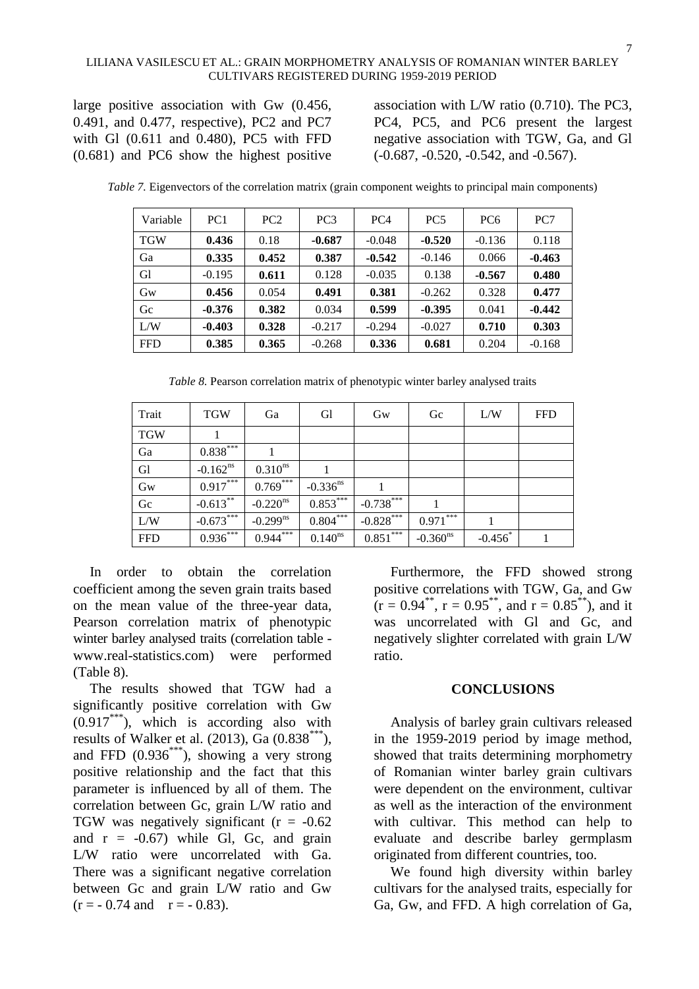large positive association with Gw (0.456, 0.491, and 0.477, respective), PC2 and PC7 with Gl (0.611 and 0.480), PC5 with FFD (0.681) and PC6 show the highest positive

association with L/W ratio (0.710). The PC3, PC4, PC5, and PC6 present the largest negative association with TGW, Ga, and Gl (-0.687, -0.520, -0.542, and -0.567).

| Variable   | PC <sub>1</sub> | PC2   | PC <sub>3</sub> | PC <sub>4</sub> | PC <sub>5</sub> | PC <sub>6</sub> | PC <sub>7</sub> |
|------------|-----------------|-------|-----------------|-----------------|-----------------|-----------------|-----------------|
| <b>TGW</b> | 0.436           | 0.18  | $-0.687$        | $-0.048$        | $-0.520$        | $-0.136$        | 0.118           |
| Ga         | 0.335           | 0.452 | 0.387           | $-0.542$        | $-0.146$        | 0.066           | $-0.463$        |
| G1         | $-0.195$        | 0.611 | 0.128           | $-0.035$        | 0.138           | $-0.567$        | 0.480           |
| Gw         | 0.456           | 0.054 | 0.491           | 0.381           | $-0.262$        | 0.328           | 0.477           |
| Gc         | $-0.376$        | 0.382 | 0.034           | 0.599           | $-0.395$        | 0.041           | $-0.442$        |
| L/W        | $-0.403$        | 0.328 | $-0.217$        | $-0.294$        | $-0.027$        | 0.710           | 0.303           |
| <b>FFD</b> | 0.385           | 0.365 | $-0.268$        | 0.336           | 0.681           | 0.204           | $-0.168$        |

*Table 7.* Eigenvectors of the correlation matrix (grain component weights to principal main components)

*Table 8.* Pearson correlation matrix of phenotypic winter barley analysed traits

| Trait      | <b>TGW</b>    | Ga                     | <b>G</b> l             | Gw          | Gc                     | L/W                   | <b>FFD</b> |
|------------|---------------|------------------------|------------------------|-------------|------------------------|-----------------------|------------|
| <b>TGW</b> |               |                        |                        |             |                        |                       |            |
| Ga         | $0.838***$    |                        |                        |             |                        |                       |            |
| Gl         | $-0.162^{ns}$ | $0.310^{ns}$           |                        |             |                        |                       |            |
| Gw         | $0.917***$    | $0.769***$             | $-0.336$ <sup>ns</sup> |             |                        |                       |            |
| Gc         | $-0.613***$   | $-0.220$ <sup>ns</sup> | $0.853***$             | $-0.738***$ |                        |                       |            |
| L/W        | $-0.673***$   | $-0.299^{ns}$          | $0.804***$             | $-0.828***$ | $0.971***$             |                       |            |
| <b>FFD</b> | $0.936***$    | $0.944***$             | $0.140^{ns}$           | $0.851***$  | $-0.360$ <sup>ns</sup> | $-0.456$ <sup>*</sup> |            |

In order to obtain the correlation coefficient among the seven grain traits based on the mean value of the three-year data, Pearson correlation matrix of phenotypic winter barley analysed traits (correlation table www.real-statistics.com) were performed (Table 8).

The results showed that TGW had a significantly positive correlation with Gw  $(0.917***)$ , which is according also with results of Walker et al.  $(2013)$ , Ga  $(0.838***^*)$ , and FFD  $(0.936^{***})$ , showing a very strong positive relationship and the fact that this parameter is influenced by all of them. The correlation between Gc, grain L/W ratio and TGW was negatively significant  $(r = -0.62)$ and  $r = -0.67$ ) while Gl, Gc, and grain L/W ratio were uncorrelated with Ga. There was a significant negative correlation between Gc and grain L/W ratio and Gw  $(r = -0.74$  and  $r = -0.83$ ).

Furthermore, the FFD showed strong positive correlations with TGW, Ga, and Gw  $(r = 0.94^{**}, r = 0.95^{**}, \text{ and } r = 0.85^{**}), \text{ and it}$ was uncorrelated with Gl and Gc, and negatively slighter correlated with grain L/W ratio.

## **CONCLUSIONS**

Analysis of barley grain cultivars released in the 1959-2019 period by image method, showed that traits determining morphometry of Romanian winter barley grain cultivars were dependent on the environment, cultivar as well as the interaction of the environment with cultivar. This method can help to evaluate and describe barley germplasm originated from different countries, too.

We found high diversity within barley cultivars for the analysed traits, especially for Ga, Gw, and FFD. A high correlation of Ga,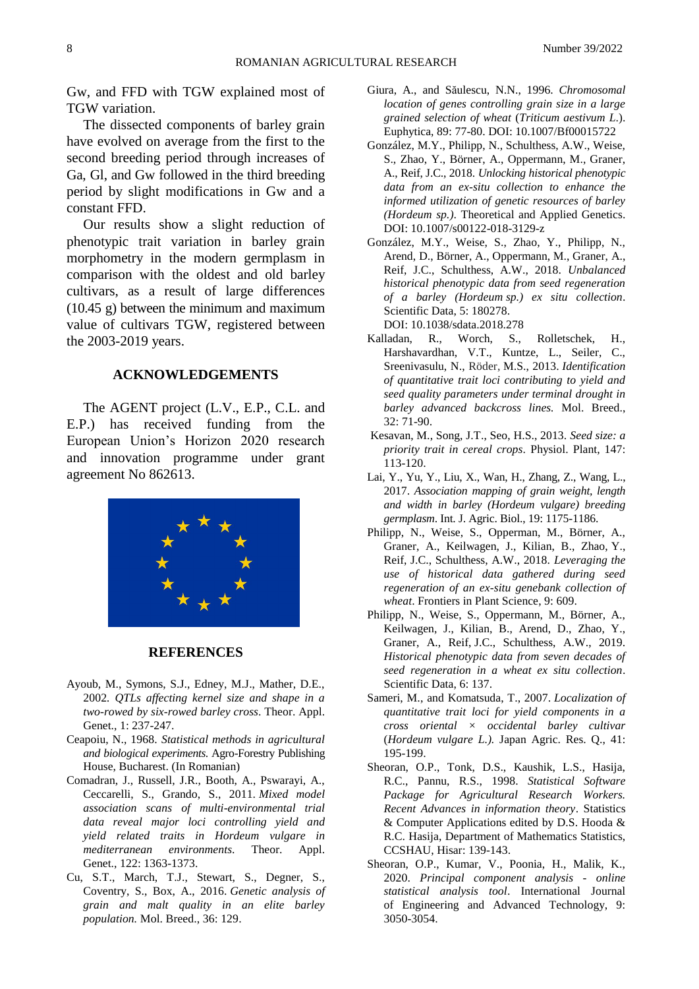Gw, and FFD with TGW explained most of TGW variation.

The dissected components of barley grain have evolved on average from the first to the second breeding period through increases of Ga, Gl, and Gw followed in the third breeding period by slight modifications in Gw and a constant FFD.

Our results show a slight reduction of phenotypic trait variation in barley grain morphometry in the modern germplasm in comparison with the oldest and old barley cultivars, as a result of large differences (10.45 g) between the minimum and maximum value of cultivars TGW, registered between the 2003-2019 years.

#### **ACKNOWLEDGEMENTS**

The AGENT project (L.V., E.P., C.L. and E.P.) has received funding from the European Union's Horizon 2020 research and innovation programme under grant agreement No 862613.



#### **REFERENCES**

- Ayoub, M., Symons, S.J., Edney, M.J., Mather, D.E., 2002*. QTLs affecting kernel size and shape in a two-rowed by six-rowed barley cross*. Theor. Appl. Genet., 1: 237-247.
- Ceapoiu, N., 1968. *Statistical methods in agricultural and biological experiments*. Agro-Forestry Publishing House, Bucharest. (In Romanian)
- Comadran, J., Russell, J.R., Booth, A., Pswarayi, A., Ceccarelli, S., Grando, S., 2011. *Mixed model association scans of multi-environmental trial data reveal major loci controlling yield and yield related traits in Hordeum vulgare in mediterranean environments*. Theor. Appl. Genet., 122: 1363-1373.
- Cu, S.T., March, T.J., Stewart, S., Degner, S., Coventry, S., Box, A., 2016. *Genetic analysis of grain and malt quality in an elite barley population.* Mol. Breed., 36: 129.
- Giura, A., and Săulescu, N.N., 1996. *Chromosomal location of genes controlling grain size in a large grained selection of wheat* (*Triticum aestivum L*.). Euphytica, 89: 77-80. DOI: 10.1007/Bf00015722
- González, M.Y., Philipp, N., Schulthess, A.W., Weise, S., Zhao, Y., Börner, A., Oppermann, M., Graner, A., Reif, J.C., 2018. *Unlocking historical phenotypic data from an ex-situ collection to enhance the informed utilization of genetic resources of barley (Hordeum sp.)*. Theoretical and Applied Genetics. DOI: 10.1007/s00122-018-3129-z
- González, M.Y., Weise, S., Zhao, Y., Philipp, N., Arend, D., Börner, A., Oppermann, M., Graner, A., Reif, J.C., Schulthess, A.W., 2018. *Unbalanced historical phenotypic data from seed regeneration of a barley (Hordeum sp.) ex situ collection*. Scientific Data, 5: 180278. DOI: 10.1038/sdata.2018.278
- Kalladan, R., Worch, S., Rolletschek, H., Harshavardhan, V.T., Kuntze, L., Seiler, C., Sreenivasulu, N., Röder, M.S., 2013. *Identification of quantitative trait loci contributing to yield and seed quality parameters under terminal drought in barley advanced backcross lines.* Mol. Breed., 32: 71-90.
- Kesavan, M., Song, J.T., Seo, H.S., 2013. *Seed size: a priority trait in cereal crops*. Physiol. Plant, 147: 113-120.
- Lai, Y., Yu, Y., Liu, X., Wan, H., Zhang, Z., Wang, L., 2017. *Association mapping of grain weight, length and width in barley (Hordeum vulgare) breeding germplasm*. Int. J. Agric. Biol., 19: 1175-1186.
- Philipp, N., Weise, S., Opperman, M., Börner, A., Graner, A., Keilwagen, J., Kilian, B., Zhao, Y., Reif, J.C., Schulthess, A.W., 2018. *Leveraging the use of historical data gathered during seed regeneration of an ex-situ genebank collection of wheat*. Frontiers in Plant Science, 9: 609.
- Philipp, N., Weise, S., Oppermann, M., Börner, A., Keilwagen, J., Kilian, B., Arend, D., Zhao, Y., Graner, A., Reif, J.C., Schulthess, A.W., 2019. *Historical phenotypic data from seven decades of seed regeneration in a wheat ex situ collection*. Scientific Data, 6: 137.
- Sameri, M., and Komatsuda, T., 2007. *Localization of quantitative trait loci for yield components in a cross oriental × occidental barley cultivar*  (*Hordeum vulgare L.).* Japan Agric. Res. Q., 41: 195-199.
- Sheoran, O.P., Tonk, D.S., Kaushik, L.S., Hasija, R.C., Pannu, R.S., 1998. *Statistical Software Package for Agricultural Research Workers. Recent Advances in information theory*. Statistics & Computer Applications edited by D.S. Hooda & R.C. Hasija, Department of Mathematics Statistics, CCSHAU, Hisar: 139-143.
- Sheoran, O.P., Kumar, V., Poonia, H., Malik, K., 2020. *Principal component analysis - online statistical analysis tool*. International Journal of Engineering and Advanced Technology, 9: 3050-3054.